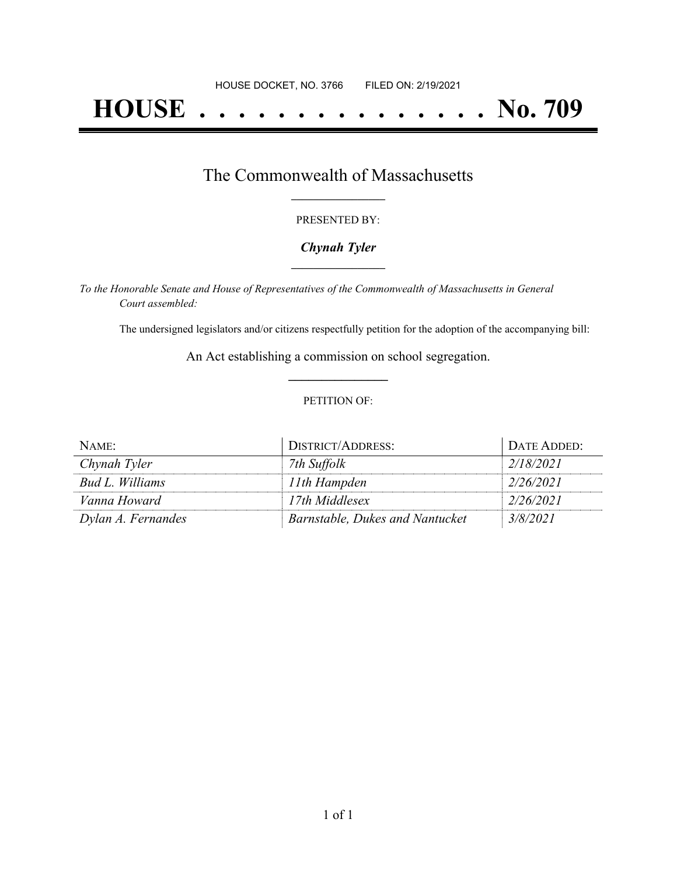# **HOUSE . . . . . . . . . . . . . . . No. 709**

## The Commonwealth of Massachusetts **\_\_\_\_\_\_\_\_\_\_\_\_\_\_\_\_\_**

### PRESENTED BY:

## *Chynah Tyler* **\_\_\_\_\_\_\_\_\_\_\_\_\_\_\_\_\_**

*To the Honorable Senate and House of Representatives of the Commonwealth of Massachusetts in General Court assembled:*

The undersigned legislators and/or citizens respectfully petition for the adoption of the accompanying bill:

An Act establishing a commission on school segregation. **\_\_\_\_\_\_\_\_\_\_\_\_\_\_\_**

### PETITION OF:

| NAME:              | DISTRICT/ADDRESS:               | DATE ADDED: |
|--------------------|---------------------------------|-------------|
| Chynah Tyler       | 7th Suffolk                     | 2/18/2021   |
| Bud L. Williams    | 11th Hampden                    | 2/26/2021   |
| Vanna Howard       | 17th Middlesex                  | 2/26/2021   |
| Dylan A. Fernandes | Barnstable, Dukes and Nantucket | 3/8/2021    |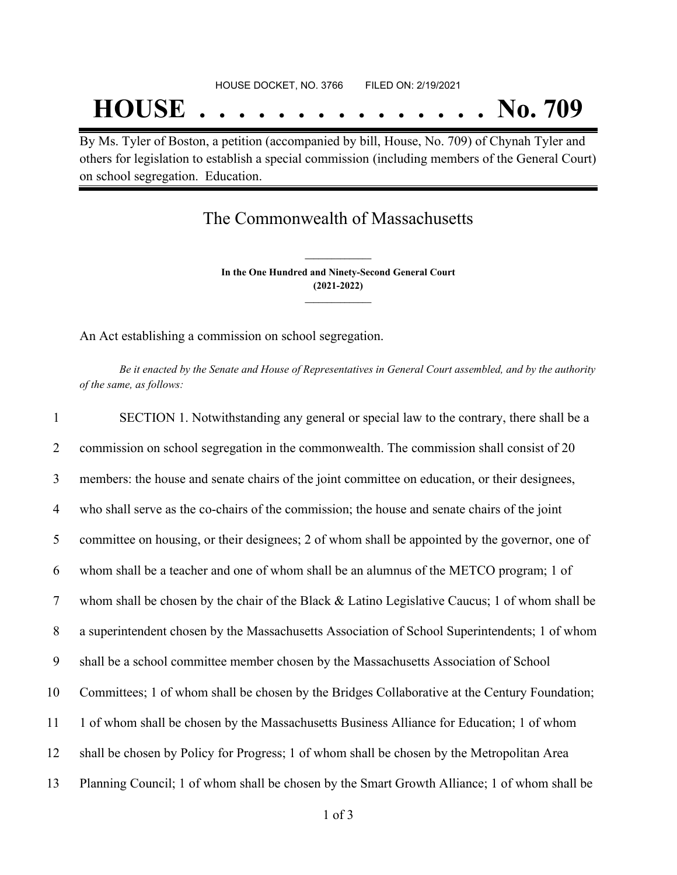By Ms. Tyler of Boston, a petition (accompanied by bill, House, No. 709) of Chynah Tyler and others for legislation to establish a special commission (including members of the General Court) on school segregation. Education.

# The Commonwealth of Massachusetts

**In the One Hundred and Ninety-Second General Court (2021-2022) \_\_\_\_\_\_\_\_\_\_\_\_\_\_\_**

**\_\_\_\_\_\_\_\_\_\_\_\_\_\_\_**

An Act establishing a commission on school segregation.

Be it enacted by the Senate and House of Representatives in General Court assembled, and by the authority *of the same, as follows:*

| $\mathbf{1}$   | SECTION 1. Notwithstanding any general or special law to the contrary, there shall be a        |
|----------------|------------------------------------------------------------------------------------------------|
| 2              | commission on school segregation in the commonwealth. The commission shall consist of 20       |
| $\overline{3}$ | members: the house and senate chairs of the joint committee on education, or their designees,  |
| $\overline{4}$ | who shall serve as the co-chairs of the commission; the house and senate chairs of the joint   |
| 5              | committee on housing, or their designees; 2 of whom shall be appointed by the governor, one of |
| 6              | whom shall be a teacher and one of whom shall be an alumnus of the METCO program; 1 of         |
| $\tau$         | whom shall be chosen by the chair of the Black & Latino Legislative Caucus; 1 of whom shall be |
| 8              | a superintendent chosen by the Massachusetts Association of School Superintendents; 1 of whom  |
| 9              | shall be a school committee member chosen by the Massachusetts Association of School           |
| 10             | Committees; 1 of whom shall be chosen by the Bridges Collaborative at the Century Foundation;  |
| 11             | 1 of whom shall be chosen by the Massachusetts Business Alliance for Education; 1 of whom      |
| 12             | shall be chosen by Policy for Progress; 1 of whom shall be chosen by the Metropolitan Area     |
| 13             | Planning Council; 1 of whom shall be chosen by the Smart Growth Alliance; 1 of whom shall be   |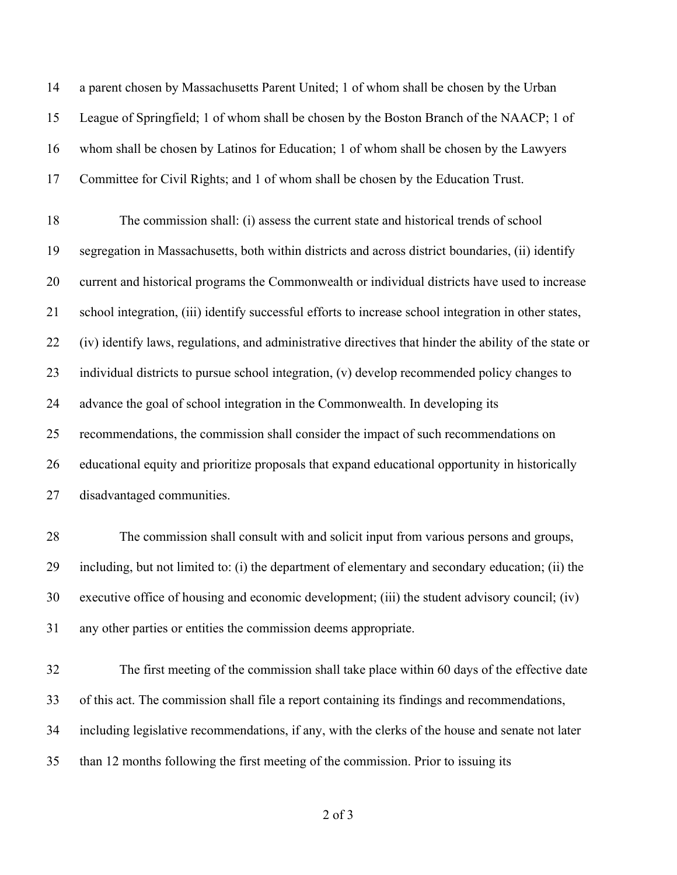| 14 | a parent chosen by Massachusetts Parent United; 1 of whom shall be chosen by the Urban                 |
|----|--------------------------------------------------------------------------------------------------------|
| 15 | League of Springfield; 1 of whom shall be chosen by the Boston Branch of the NAACP; 1 of               |
| 16 | whom shall be chosen by Latinos for Education; 1 of whom shall be chosen by the Lawyers                |
| 17 | Committee for Civil Rights; and 1 of whom shall be chosen by the Education Trust.                      |
| 18 | The commission shall: (i) assess the current state and historical trends of school                     |
| 19 | segregation in Massachusetts, both within districts and across district boundaries, (ii) identify      |
| 20 | current and historical programs the Commonwealth or individual districts have used to increase         |
| 21 | school integration, (iii) identify successful efforts to increase school integration in other states,  |
| 22 | (iv) identify laws, regulations, and administrative directives that hinder the ability of the state or |
| 23 | individual districts to pursue school integration, (v) develop recommended policy changes to           |
| 24 | advance the goal of school integration in the Commonwealth. In developing its                          |
| 25 | recommendations, the commission shall consider the impact of such recommendations on                   |
| 26 | educational equity and prioritize proposals that expand educational opportunity in historically        |
| 27 | disadvantaged communities.                                                                             |
| 28 | The commission shall consult with and solicit input from various persons and groups,                   |
| 29 | including, but not limited to: (i) the department of elementary and secondary education; (ii) the      |
| 30 | executive office of housing and economic development; (iii) the student advisory council; (iv)         |
| 31 | any other parties or entities the commission deems appropriate.                                        |
| 32 | The first meeting of the commission shall take place within 60 days of the effective date              |
| 33 | of this act. The commission shall file a report containing its findings and recommendations,           |
| 34 | including legislative recommendations, if any, with the clerks of the house and senate not later       |
| 35 | than 12 months following the first meeting of the commission. Prior to issuing its                     |
|    |                                                                                                        |

of 3